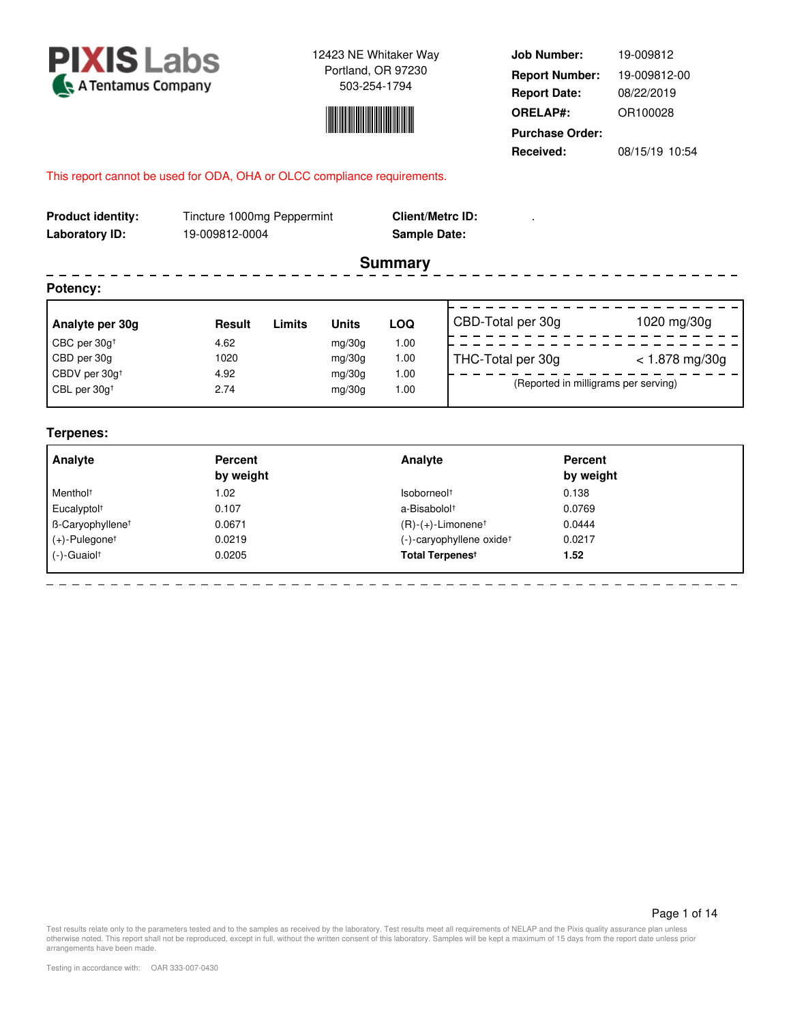



**Job Number: Report Date: ORELAP#:** 08/22/2019 OR100028 **Received:** 08/15/19 10:54 **Purchase Order:** 19-009812 **Report Number:** 19-009812-00

## This report cannot be used for ODA, OHA or OLCC compliance requirements.

| <b>Product identity:</b><br>Laboratory ID: | Tincture 1000mg Peppermint<br>19-009812-0004 |        |              | <b>Client/Metrc ID:</b><br><b>Sample Date:</b> |                                      |                  |  |  |  |  |  |
|--------------------------------------------|----------------------------------------------|--------|--------------|------------------------------------------------|--------------------------------------|------------------|--|--|--|--|--|
|                                            |                                              |        |              | <b>Summary</b>                                 |                                      |                  |  |  |  |  |  |
| Potency:                                   |                                              |        |              |                                                |                                      |                  |  |  |  |  |  |
| Analyte per 30g                            | <b>Result</b>                                | Limits | <b>Units</b> | LOQ                                            | CBD-Total per 30g                    | 1020 mg/30g      |  |  |  |  |  |
| CBC per $30g†$                             | 4.62                                         |        | mq/30q       | 1.00                                           |                                      |                  |  |  |  |  |  |
| CBD per 30g                                | 1020                                         |        | mq/30q       | 1.00                                           | THC-Total per 30g                    | $< 1.878$ mg/30g |  |  |  |  |  |
| CBDV per 30g <sup>+</sup>                  | 4.92                                         |        | mq/30q       | 1.00                                           |                                      |                  |  |  |  |  |  |
| CBL per 30g <sup>+</sup>                   | 2.74                                         |        | mg/30g       | 1.00                                           | (Reported in milligrams per serving) |                  |  |  |  |  |  |

## **Terpenes:**

| Analyte                      | <b>Percent</b><br>by weight | Analyte                              | <b>Percent</b><br>by weight |  |
|------------------------------|-----------------------------|--------------------------------------|-----------------------------|--|
| Menthol <sup>+</sup>         | 1.02                        | Isoborneol <sup>+</sup>              | 0.138                       |  |
| Eucalyptol <sup>+</sup>      | 0.107                       | a-Bisabolol <sup>+</sup>             | 0.0769                      |  |
| B-Caryophyllene <sup>t</sup> | 0.0671                      | $(R)-(+)$ -Limonene <sup>†</sup>     | 0.0444                      |  |
| $(+)$ -Pulegonet             | 0.0219                      | (-)-caryophyllene oxide <sup>+</sup> | 0.0217                      |  |
| $(-)$ -Guaiol <sup>+</sup>   | 0.0205                      | Total Terpenes <sup>t</sup>          | 1.52                        |  |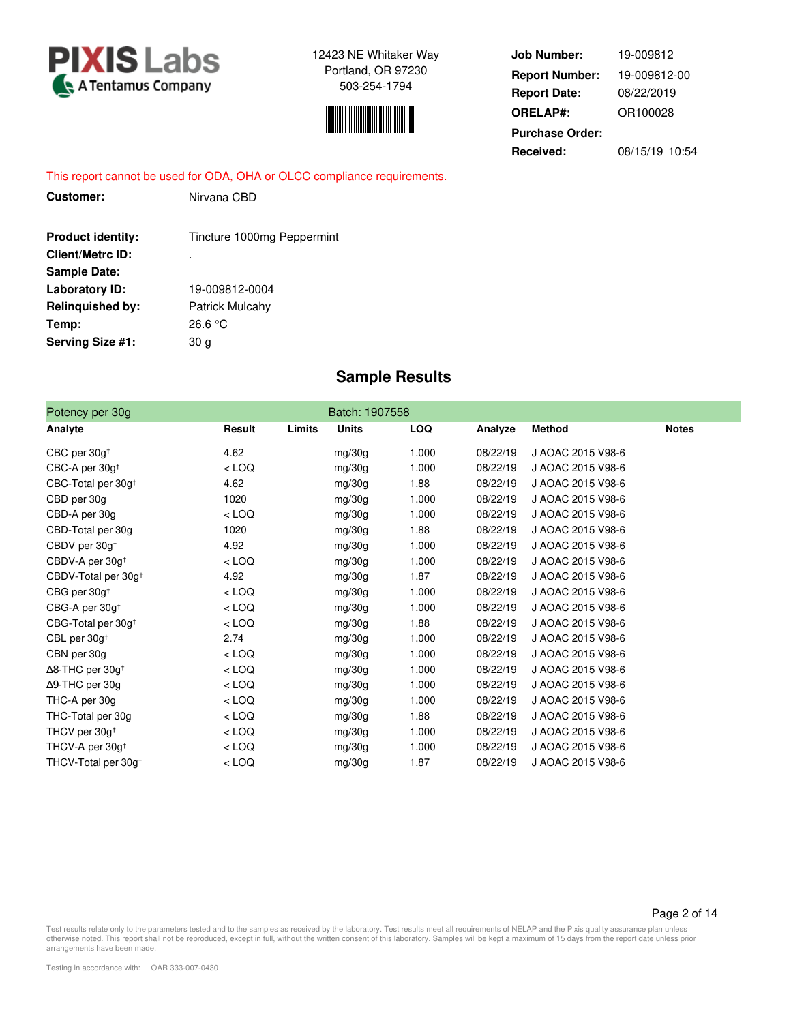



**Job Number: Report Date: ORELAP#:** 08/22/2019 OR100028 **Received:** 08/15/19 10:54 **Purchase Order:** 19-009812 **Report Number:** 19-009812-00

This report cannot be used for ODA, OHA or OLCC compliance requirements.

| <b>Customer:</b>         | Nirvana CBD                |
|--------------------------|----------------------------|
| <b>Product identity:</b> | Tincture 1000mg Peppermint |
| Client/Metrc ID:         | ٠                          |
| Sample Date:             |                            |
| Laboratory ID:           | 19-009812-0004             |
| <b>Relinquished by:</b>  | <b>Patrick Mulcahy</b>     |
| Temp:                    | 26.6 °C                    |
| Serving Size #1:         | 30 a                       |
|                          |                            |

# **Sample Results**

| Potency per 30g                 |         |        | Batch: 1907558 |            |          |                   |              |
|---------------------------------|---------|--------|----------------|------------|----------|-------------------|--------------|
| Analyte                         | Result  | Limits | <b>Units</b>   | <b>LOQ</b> | Analyze  | <b>Method</b>     | <b>Notes</b> |
| CBC per 30g <sup>+</sup>        | 4.62    |        | mg/30g         | 1.000      | 08/22/19 | J AOAC 2015 V98-6 |              |
| CBC-A per 30g <sup>+</sup>      | $<$ LOQ |        | mg/30g         | 1.000      | 08/22/19 | J AOAC 2015 V98-6 |              |
| CBC-Total per 30g <sup>+</sup>  | 4.62    |        | mg/30g         | 1.88       | 08/22/19 | J AOAC 2015 V98-6 |              |
| CBD per 30g                     | 1020    |        | mg/30g         | 1.000      | 08/22/19 | J AOAC 2015 V98-6 |              |
| CBD-A per 30g                   | $<$ LOQ |        | mg/30g         | 1.000      | 08/22/19 | J AOAC 2015 V98-6 |              |
| CBD-Total per 30g               | 1020    |        | mg/30g         | 1.88       | 08/22/19 | J AOAC 2015 V98-6 |              |
| CBDV per 30g <sup>+</sup>       | 4.92    |        | mg/30g         | 1.000      | 08/22/19 | J AOAC 2015 V98-6 |              |
| CBDV-A per 30g <sup>+</sup>     | $<$ LOQ |        | mg/30g         | 1.000      | 08/22/19 | J AOAC 2015 V98-6 |              |
| CBDV-Total per 30g <sup>+</sup> | 4.92    |        | mg/30g         | 1.87       | 08/22/19 | J AOAC 2015 V98-6 |              |
| CBG per 30q <sup>+</sup>        | $<$ LOQ |        | mg/30g         | 1.000      | 08/22/19 | J AOAC 2015 V98-6 |              |
| CBG-A per 30g <sup>+</sup>      | $<$ LOQ |        | mg/30g         | 1.000      | 08/22/19 | J AOAC 2015 V98-6 |              |
| CBG-Total per 30g <sup>+</sup>  | $<$ LOQ |        | mg/30g         | 1.88       | 08/22/19 | J AOAC 2015 V98-6 |              |
| CBL per $30g†$                  | 2.74    |        | mg/30g         | 1.000      | 08/22/19 | J AOAC 2015 V98-6 |              |
| CBN per 30g                     | $<$ LOQ |        | mg/30g         | 1.000      | 08/22/19 | J AOAC 2015 V98-6 |              |
| ∆8-THC per 30g <sup>+</sup>     | $<$ LOQ |        | mg/30g         | 1.000      | 08/22/19 | J AOAC 2015 V98-6 |              |
| ∆9-THC per 30g                  | $<$ LOQ |        | mg/30g         | 1.000      | 08/22/19 | J AOAC 2015 V98-6 |              |
| THC-A per 30g                   | $<$ LOQ |        | mg/30g         | 1.000      | 08/22/19 | J AOAC 2015 V98-6 |              |
| THC-Total per 30g               | $<$ LOQ |        | mg/30g         | 1.88       | 08/22/19 | J AOAC 2015 V98-6 |              |
| THCV per 30g <sup>+</sup>       | $<$ LOQ |        | mg/30g         | 1.000      | 08/22/19 | J AOAC 2015 V98-6 |              |
| THCV-A per 30g <sup>+</sup>     | $<$ LOQ |        | mg/30g         | 1.000      | 08/22/19 | J AOAC 2015 V98-6 |              |
| THCV-Total per 30g <sup>+</sup> | $<$ LOQ |        | mg/30g         | 1.87       | 08/22/19 | J AOAC 2015 V98-6 |              |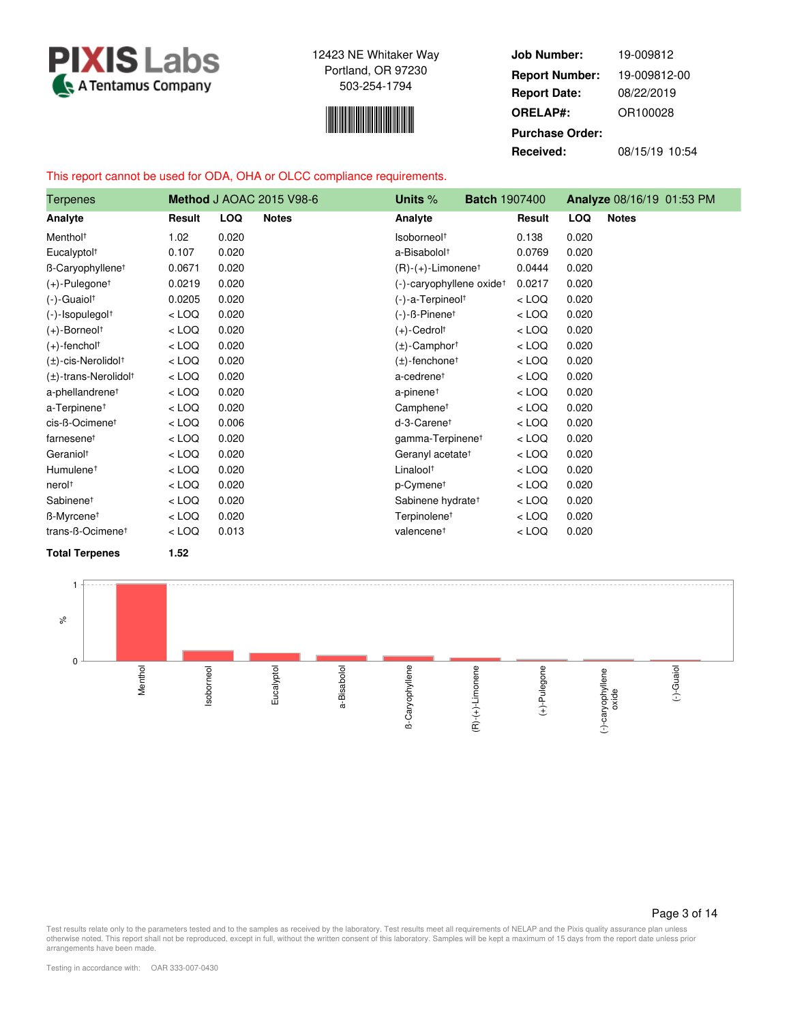

$$
\mathcal{L}^{\text{max}}_{\text{max}}
$$

**Job Number: Report Date: ORELAP#:** 08/22/2019 OR100028 **Received:** 08/15/19 10:54 **Purchase Order:** 19-009812 **Report Number:** 19-009812-00

# This report cannot be used for ODA, OHA or OLCC compliance requirements.

| <b>Terpenes</b>                       |         |            | <b>Method J AOAC 2015 V98-6</b> | Units $%$<br><b>Batch 1907400</b>    |         |            | Analyze 08/16/19 01:53 PM |
|---------------------------------------|---------|------------|---------------------------------|--------------------------------------|---------|------------|---------------------------|
| Analyte                               | Result  | <b>LOQ</b> | <b>Notes</b>                    | Analyte                              | Result  | <b>LOQ</b> | <b>Notes</b>              |
| Menthol <sup>+</sup>                  | 1.02    | 0.020      |                                 | Isoborneol <sup>+</sup>              | 0.138   | 0.020      |                           |
| Eucalyptol <sup>+</sup>               | 0.107   | 0.020      |                                 | a-Bisabolol <sup>+</sup>             | 0.0769  | 0.020      |                           |
| B-Caryophyllene <sup>t</sup>          | 0.0671  | 0.020      |                                 | $(R)-(+)$ -Limonene <sup>†</sup>     | 0.0444  | 0.020      |                           |
| $(+)$ -Pulegone <sup>†</sup>          | 0.0219  | 0.020      |                                 | (-)-caryophyllene oxide <sup>†</sup> | 0.0217  | 0.020      |                           |
| $(-)$ -Guaiol <sup>+</sup>            | 0.0205  | 0.020      |                                 | (-)-a-Terpineol <sup>+</sup>         | $<$ LOQ | 0.020      |                           |
| (-)-Isopulegol <sup>+</sup>           | $<$ LOQ | 0.020      |                                 | $(-)$ - $\beta$ -Pinene <sup>†</sup> | $<$ LOQ | 0.020      |                           |
| $(+)$ -Borneol <sup>+</sup>           | $<$ LOQ | 0.020      |                                 | $(+)$ -Cedrolt                       | $<$ LOQ | 0.020      |                           |
| $(+)$ -fencholt                       | $<$ LOQ | 0.020      |                                 | $(\pm)$ -Camphor <sup>†</sup>        | $<$ LOQ | 0.020      |                           |
| $(\pm)$ -cis-Nerolidol <sup>+</sup>   | $<$ LOQ | 0.020      |                                 | $(\pm)$ -fenchone <sup>†</sup>       | $<$ LOQ | 0.020      |                           |
| $(\pm)$ -trans-Nerolidol <sup>†</sup> | $<$ LOQ | 0.020      |                                 | a-cedrene <sup>+</sup>               | $<$ LOQ | 0.020      |                           |
| a-phellandrene <sup>+</sup>           | $<$ LOQ | 0.020      |                                 | a-pinene <sup>+</sup>                | $<$ LOQ | 0.020      |                           |
| a-Terpinene <sup>+</sup>              | $<$ LOQ | 0.020      |                                 | Camphene <sup>t</sup>                | $<$ LOQ | 0.020      |                           |
| cis-ß-Ocimenet                        | $<$ LOQ | 0.006      |                                 | d-3-Carenet                          | $<$ LOQ | 0.020      |                           |
| farnesene <sup>t</sup>                | $<$ LOQ | 0.020      |                                 | gamma-Terpinene <sup>+</sup>         | $<$ LOQ | 0.020      |                           |
| Geraniol <sup>+</sup>                 | $<$ LOQ | 0.020      |                                 | Geranyl acetate <sup>†</sup>         | $<$ LOQ | 0.020      |                           |
| Humulene <sup>+</sup>                 | $<$ LOQ | 0.020      |                                 | Linalool <sup>+</sup>                | $<$ LOQ | 0.020      |                           |
| nerol <sup>+</sup>                    | $<$ LOQ | 0.020      |                                 | p-Cymene <sup>†</sup>                | $<$ LOQ | 0.020      |                           |
| Sabinene <sup>t</sup>                 | $<$ LOQ | 0.020      |                                 | Sabinene hydrate <sup>†</sup>        | $<$ LOQ | 0.020      |                           |
| B-Myrcene <sup>t</sup>                | $<$ LOQ | 0.020      |                                 | Terpinolene <sup>t</sup>             | $<$ LOQ | 0.020      |                           |
| trans-ß-Ocimene <sup>+</sup>          | $<$ LOQ | 0.013      |                                 | valencene <sup>t</sup>               | $<$ LOQ | 0.020      |                           |
| <b>Total Terpenes</b>                 | 1.52    |            |                                 |                                      |         |            |                           |



Page 3 of 14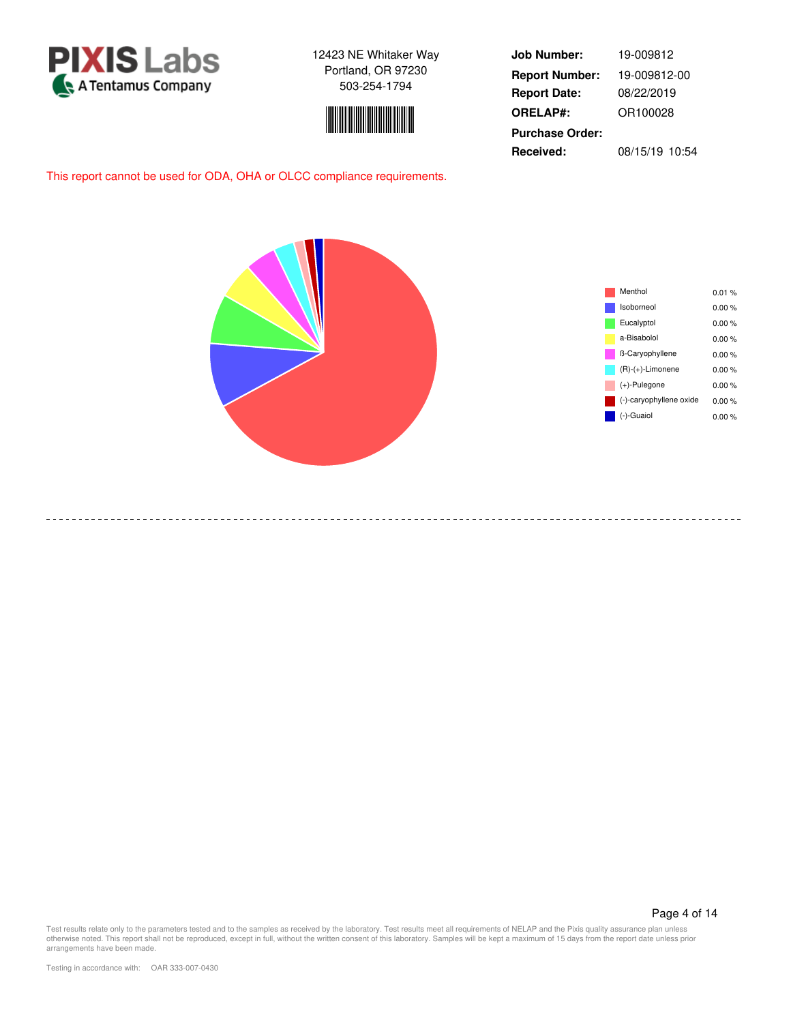



**Job Number: Report Date: ORELAP#:** 08/22/2019 OR100028 **Received:** 08/15/19 10:54 **Purchase Order:** 19-009812 **Report Number:** 19-009812-00

This report cannot be used for ODA, OHA or OLCC compliance requirements.



-----------------------------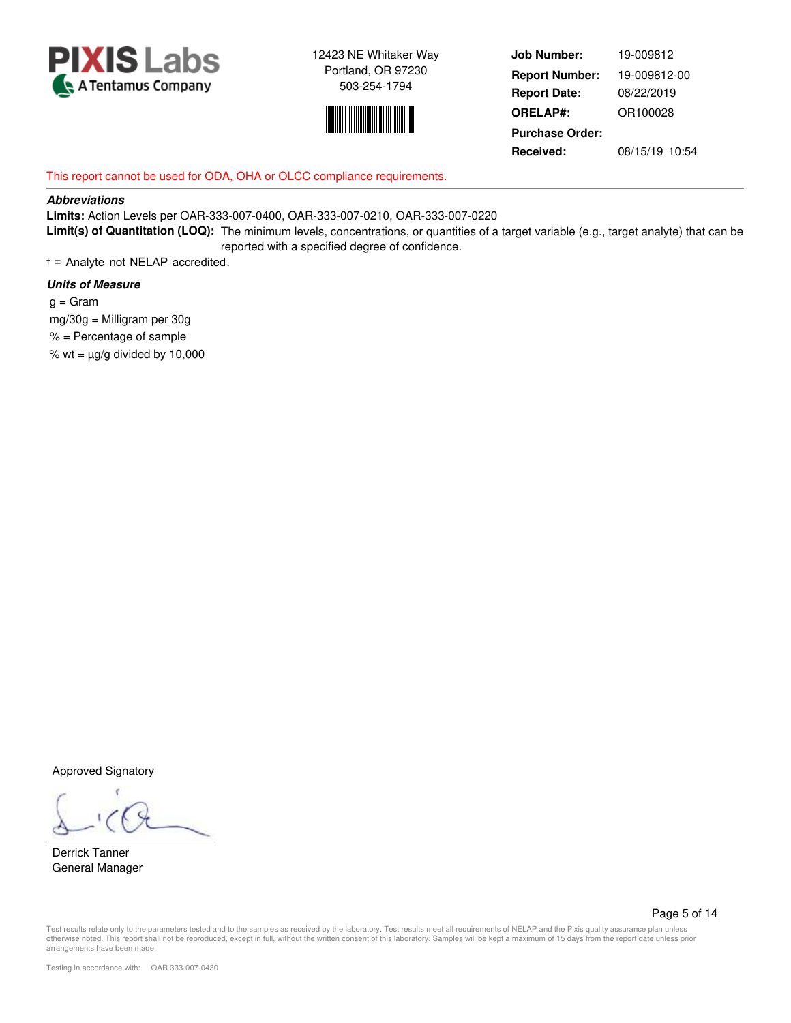



**Job Number: Report Date: ORELAP#:** 08/22/2019 OR100028 **Received:** 08/15/19 10:54 **Purchase Order:** 19-009812 **Report Number:** 19-009812-00

# This report cannot be used for ODA, OHA or OLCC compliance requirements.

### **Abbreviations**

**Limits:** Action Levels per OAR-333-007-0400, OAR-333-007-0210, OAR-333-007-0220 **Limit(s) of Quantitation (LOQ):** The minimum levels, concentrations, or quantities of a target variable (e.g., target analyte) that can be reported with a specified degree of confidence.

† = Analyte not NELAP accredited.

### **Units of Measure**

 $g = \text{Gram}$  mg/30g = Milligram per 30g  $%$  = Percentage of sample % wt =  $\mu$ g/g divided by 10,000

Approved Signatory

Derrick Tanner General Manager

Page 5 of 14

Test results relate only to the parameters tested and to the samples as received by the laboratory. Test results meet all requirements of NELAP and the Pixis quality assurance plan unless otherwise noted. This report shall not be reproduced, except in full, without the written consent of this laboratory. Samples will be kept a maximum of 15 days from the report date unless prior arrangements have been made.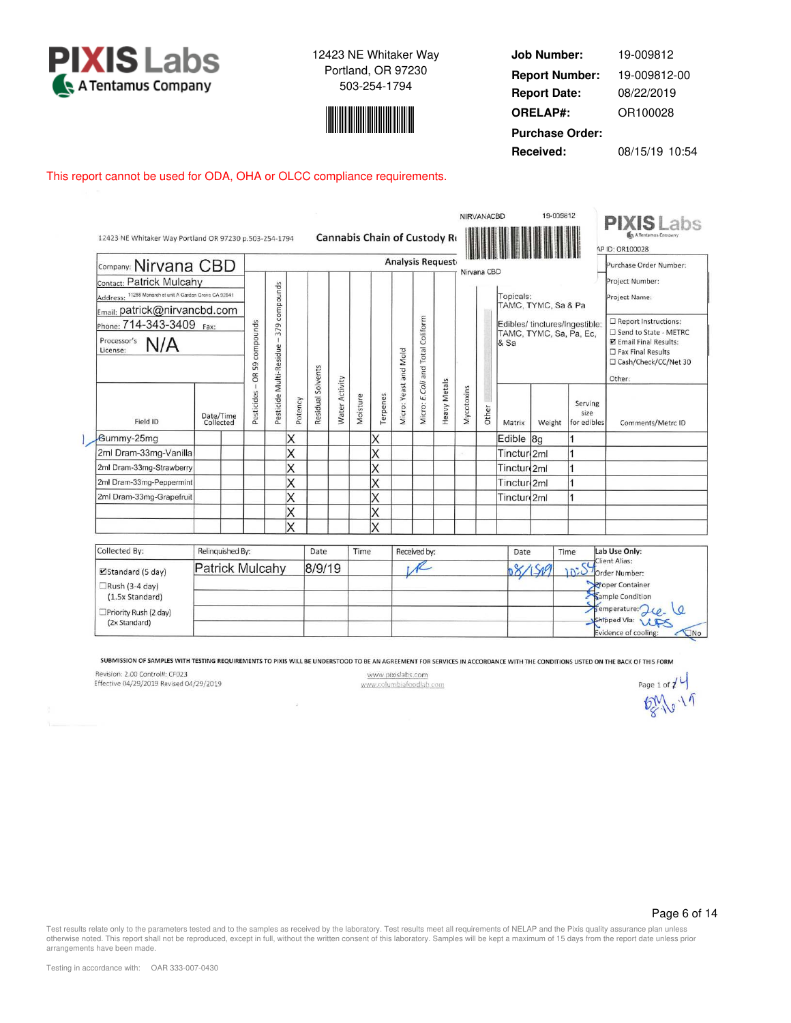



**Job Number: Report Date: ORELAP#:** 08/22/2019 OR100028 **Received:** 08/15/19 10:54 **Purchase Order:** 19-009812 **Report Number:** 19-009812-00

### This report cannot be used for ODA, OHA or OLCC compliance requirements.

| 12423 NE Whitaker Way Portland OR 97230 p.503-254-1794 |      |                        |                              |                         |         |                   |                       |          | Cannabis Chain of Custody Ro |                       |                                  |                         |            | NIRVANACBD  |                         | 19-009812                                                 |                                | <b>PIXIS</b> Labs<br>A Tentamus Company<br>AP ID: OR100028                                                                    |
|--------------------------------------------------------|------|------------------------|------------------------------|-------------------------|---------|-------------------|-----------------------|----------|------------------------------|-----------------------|----------------------------------|-------------------------|------------|-------------|-------------------------|-----------------------------------------------------------|--------------------------------|-------------------------------------------------------------------------------------------------------------------------------|
| Company: Nirvana CBD                                   |      |                        |                              |                         |         |                   |                       |          |                              |                       |                                  | <b>Analysis Request</b> |            | Nirvana CBD |                         |                                                           |                                | Purchase Order Number:                                                                                                        |
| Contact: Patrick Mulcahy                               |      |                        |                              |                         |         |                   |                       |          |                              |                       |                                  |                         |            |             |                         |                                                           |                                | Project Number:                                                                                                               |
| Address: 11258 Monarch st unit A Garden Grove CA 92841 |      |                        |                              |                         |         |                   |                       |          |                              |                       |                                  |                         |            |             | Topicals:               |                                                           |                                | Project Name:                                                                                                                 |
| Email: patrick@nirvancbd.com                           |      |                        |                              |                         |         |                   |                       |          |                              |                       |                                  |                         |            |             |                         | TAMC, TYMC, Sa & Pa                                       |                                |                                                                                                                               |
| Phone: 714-343-3409<br>Processor's<br>N/A<br>License:  | Fax: |                        | Pesticides - OR 59 compounds | 379 compounds<br>T      |         |                   |                       |          |                              |                       | Micro: E.Coli and Total Coliform |                         |            |             | & Sa                    | Edibles/ tinctures/Ingestible:<br>TAMC, TYMC, Sa, Pa, Ec, |                                | Report Instructions:<br>□ Send to State - METRC<br>Email Final Results:<br>$\Box$ Fax Final Results<br>□ Cash/Check/CC/Net 30 |
|                                                        |      |                        |                              |                         |         |                   |                       |          |                              |                       |                                  |                         |            |             |                         |                                                           |                                | Other:                                                                                                                        |
| Field ID                                               |      | Date/Time<br>Collected |                              | Pesticide Multi-Residue | Potency | Residual Solvents | <b>Nater Activity</b> | Moisture | Terpenes                     | Micro: Yeast and Mold |                                  | <b>Heavy Metals</b>     | Mycotoxins | Other       | Matrix                  | Weight                                                    | Serving<br>size<br>for edibles | Comments/Metrc ID                                                                                                             |
| Gummy-25mg                                             |      |                        |                              |                         | Χ       |                   |                       |          | X                            |                       |                                  |                         |            |             | Edible 8g               |                                                           |                                |                                                                                                                               |
| 2ml Dram-33mg-Vanilla                                  |      |                        |                              |                         | X       |                   |                       |          | X                            |                       |                                  |                         | ċ.         |             | Tinctur 2ml             |                                                           | 1                              |                                                                                                                               |
| 2ml Dram-33mg-Strawberry                               |      |                        |                              |                         | X       |                   |                       |          | Χ                            |                       |                                  |                         |            |             | Tincture <sub>2ml</sub> |                                                           | $\overline{1}$                 |                                                                                                                               |
| 2ml Dram-33mg-Peppermint                               |      |                        |                              |                         | Χ       |                   |                       |          | Χ                            |                       |                                  |                         |            |             | Tinctur <sub>2ml</sub>  |                                                           | 1                              |                                                                                                                               |
| 2ml Dram-33mg-Grapefruit                               |      |                        |                              |                         | X       |                   |                       |          | X                            |                       |                                  |                         |            |             | Tincture <sub>2ml</sub> |                                                           | 1                              |                                                                                                                               |
|                                                        |      |                        |                              |                         | X       |                   |                       |          | X                            |                       |                                  |                         |            |             |                         |                                                           |                                |                                                                                                                               |
|                                                        |      |                        |                              |                         | X       |                   |                       |          | X                            |                       |                                  |                         |            |             |                         |                                                           |                                |                                                                                                                               |
| Collected By:                                          |      | Relinquished By:       |                              |                         |         | Date              |                       | Time     |                              |                       | Received by:                     |                         |            |             | Date                    | Time                                                      |                                | Lab Use Only:                                                                                                                 |
| ■Standard (5 day)                                      |      | Patrick Mulcahy        |                              |                         |         | 8/9/19            |                       |          |                              |                       |                                  |                         |            |             | 88/509                  |                                                           | 10:0                           | Client Alias:<br>Order Number:                                                                                                |
| $\Box$ Rush (3-4 day)<br>(1.5x Standard)               |      |                        |                              |                         |         |                   |                       |          |                              |                       |                                  |                         |            |             |                         |                                                           |                                | <b>Proper Container</b><br>Sample Condition                                                                                   |
| $\Box$ Priority Rush (2 day)<br>(2x Standard)          |      |                        |                              |                         |         |                   |                       |          |                              |                       |                                  |                         |            |             |                         |                                                           |                                | Semperature: Jce.<br>Shipped Via: US<br>$\n  \sqrt{} No$<br>Evidence of cooling:                                              |

SUBMISSION OF SAMPLES WITH TESTING REQUIREMENTS TO PIXIS WILL BE UNDERSTOOD TO BE AN AGREEMENT FOR SERVICES IN ACCORDANCE WITH THE CONDITIONS LISTED ON THE BACK OF THIS FORM

Revision: 2.00 Control#: CF023

Effective 04/29/2019 Revised 04/29/2019

www.pixislabs.com www.columbiafoodlab.com

Page 1 of  $\left| \right|$  $RN+19$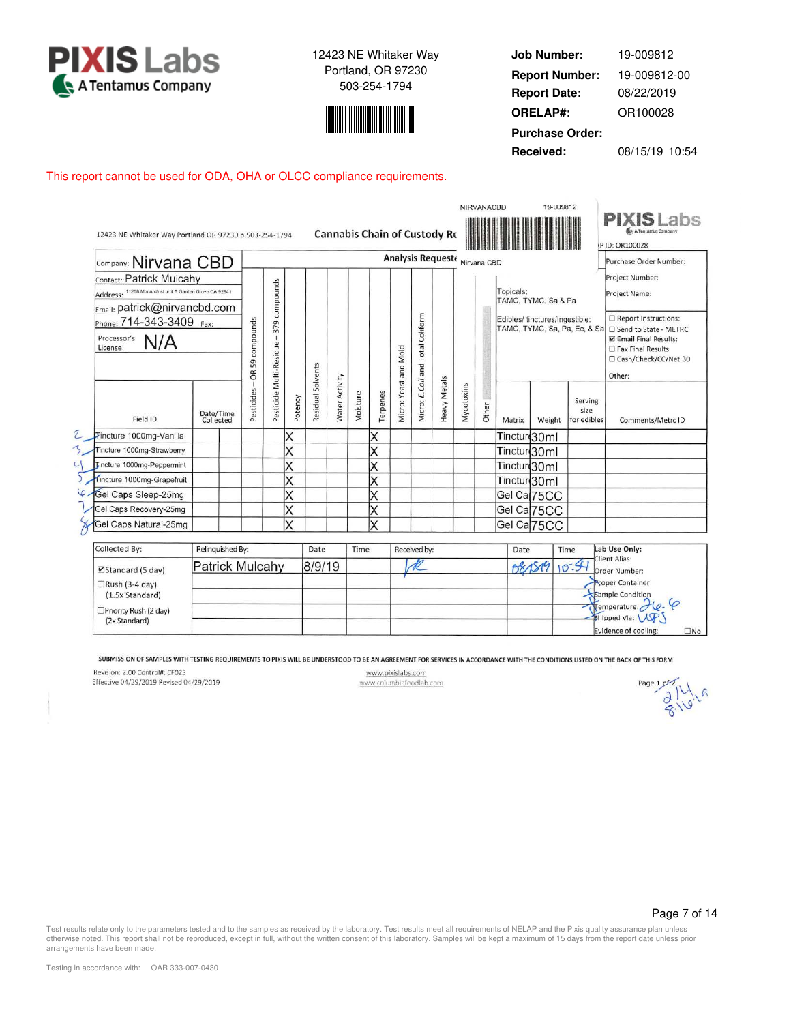



**Job Number: Report Date: ORELAP#:** 08/22/2019 OR100028 **Received:** 08/15/19 10:54 **Purchase Order:** 19-009812 **Report Number:** 19-009812-00

This report cannot be used for ODA, OHA or OLCC compliance requirements.

|                                                        |                        |                  |                 |                         |         |                   |                       |          |          |                       |                  |                               |            | <b>NIRVANACBD</b> |                         | 19-009812                      |                                        |                                                                     |
|--------------------------------------------------------|------------------------|------------------|-----------------|-------------------------|---------|-------------------|-----------------------|----------|----------|-----------------------|------------------|-------------------------------|------------|-------------------|-------------------------|--------------------------------|----------------------------------------|---------------------------------------------------------------------|
| 12423 NE Whitaker Way Portland OR 97230 p.503-254-1794 |                        |                  |                 |                         |         |                   |                       |          |          |                       |                  | Cannabis Chain of Custody Re  |            |                   |                         |                                |                                        | <b>PIXIS Labs</b><br>A A Tentamin Company<br><b>IP ID: OR100028</b> |
| Company: Nirvana CBD                                   |                        |                  |                 |                         |         |                   |                       |          |          |                       |                  | Analysis Requeste Nirvana CBD |            |                   |                         |                                |                                        | Purchase Order Number:                                              |
| Contact: Patrick Mulcahy                               |                        |                  |                 |                         |         |                   |                       |          |          |                       |                  |                               |            |                   |                         |                                |                                        | Project Number:                                                     |
| Address: 11258 Monarch st unit A Garden Grove CA 92841 |                        |                  |                 |                         |         |                   |                       |          |          |                       |                  |                               |            |                   | Topicals:               |                                |                                        | Project Name:                                                       |
| Email: patrick@nirvancbd.com                           |                        |                  |                 | 379 compounds           |         |                   |                       |          |          |                       |                  |                               |            |                   |                         | TAMC, TYMC, Sa & Pa            |                                        |                                                                     |
|                                                        |                        |                  |                 |                         |         |                   |                       |          |          |                       |                  |                               |            |                   |                         | Edibles/ tinctures/Ingestible: |                                        | $\Box$ Report Instructions:                                         |
| Phone: 714-343-3409                                    | Fax:                   |                  | compounds       |                         |         |                   |                       |          |          |                       | Coliform         |                               |            |                   |                         |                                | TAMC, TYMC, Sa, Pa, Ec, & Sa           | □ Send to State - METRC                                             |
| Processor's<br>N/A<br>License:                         |                        |                  |                 |                         |         |                   |                       |          |          |                       |                  |                               |            |                   |                         |                                |                                        | <b>Z</b> Email Final Results:<br>$\square$ Fax Final Results        |
|                                                        |                        |                  |                 |                         |         |                   |                       |          |          |                       | Total            |                               |            |                   |                         |                                |                                        | □ Cash/Check/CC/Net 30                                              |
|                                                        |                        |                  | 59<br>6Ř        |                         |         |                   |                       |          |          |                       | and              |                               |            |                   |                         |                                |                                        | Other:                                                              |
| Field ID                                               | Date/Time<br>Collected |                  | esticides<br>ã. | Pesticide Multi-Residue | Potency | Residual Solvents | <b>Water Activity</b> | Moisture | Terpenes | Micro: Yeast and Mold | E.Coli<br>Micro: | <b>Heavy Metals</b>           | Mycotoxins | Other             | Matrix                  | Weight                         | Serving<br>size<br>for edibles         | Comments/Metrc ID                                                   |
| Tincture 1000mg-Vanilla                                |                        |                  |                 |                         | Χ       |                   |                       |          | X        |                       |                  |                               |            |                   | Tinctur(30ml            |                                |                                        |                                                                     |
| Tincture 1000mg-Strawberry                             |                        |                  |                 |                         | Χ       |                   |                       |          | X        |                       |                  |                               |            |                   | Tinctur 30ml            |                                |                                        |                                                                     |
| <b>Tincture 1000mg-Peppermint</b>                      |                        |                  |                 |                         | Χ       |                   |                       |          | Χ        |                       |                  |                               |            |                   | Tinctur(30ml            |                                |                                        |                                                                     |
| Tincture 1000mg-Grapefruit                             |                        |                  |                 |                         | X       |                   |                       |          | X        |                       |                  |                               |            |                   | Tinctur <sub>30ml</sub> |                                |                                        |                                                                     |
| Cel Caps Sleep-25mg                                    |                        |                  |                 |                         | X       |                   |                       |          | X        |                       |                  |                               |            |                   |                         | Gel Ca 75CC                    |                                        |                                                                     |
| Gel Caps Recovery-25mg                                 |                        |                  |                 |                         | X       |                   |                       |          | X        |                       |                  |                               |            |                   |                         | Gel Ca 75CC                    |                                        |                                                                     |
| Gel Caps Natural-25mg                                  |                        |                  |                 |                         | X       |                   |                       |          | $\times$ |                       |                  |                               |            |                   |                         | Gel Ca <sub>75CC</sub>         |                                        |                                                                     |
| Collected By:                                          |                        | Relinquished By: |                 |                         |         | Date              |                       | Time     |          |                       | Received by:     |                               |            |                   | Date                    |                                | <b>Time</b>                            | Lab Use Only:                                                       |
|                                                        |                        |                  |                 |                         |         |                   |                       |          |          |                       | $\sqrt{a}$       |                               |            |                   |                         |                                | $\overline{\phantom{a}}$ Client Alias: |                                                                     |

| <b>CONCLEGE DY.</b>                    | DETTING THE LIGHT DAY. | Date   | 111112 | neceived DV. | Udte   | <br><b>LAD USE UILLY.</b>                                                      |
|----------------------------------------|------------------------|--------|--------|--------------|--------|--------------------------------------------------------------------------------|
| $\blacktriangleright$ Standard (5 day) | Patrick Mulcahy        | 8/9/19 |        |              | 081819 | Client Alias:<br>Order Number:                                                 |
| $\Box$ Rush (3-4 day)                  |                        |        |        |              |        | <b>Proper Container</b>                                                        |
| (1.5x Standard)                        |                        |        |        |              |        | Sample Condition                                                               |
| <sup>1</sup> □Priority Rush (2 day)    |                        |        |        |              |        | $\mathcal{H}$ emperature: $\mathcal{H}_{\ell}$ . $\varphi$<br>Shipped Via: UP. |
| (2x Standard)                          |                        |        |        |              |        | $\square$ No<br>Evidence of cooling:                                           |

SUBMISSION OF SAMPLES WITH TESTING REQUIREMENTS TO PIXIS WILL BE UNDERSTOOD TO BE AN AGREEMENT FOR SERVICES IN ACCORDANCE WITH THE CONDITIONS LISTED ON THE BACK OF THIS FORM

Revision: 2.00 Control#: CF023

Effective 04/29/2019 Revised 04/29/2019

www.pixislabs.com www.columbiafoodlab.com

Page 1 of  $\frac{\partial}{\partial x}$   $\frac{\partial}{\partial y}$   $\frac{\partial}{\partial z}$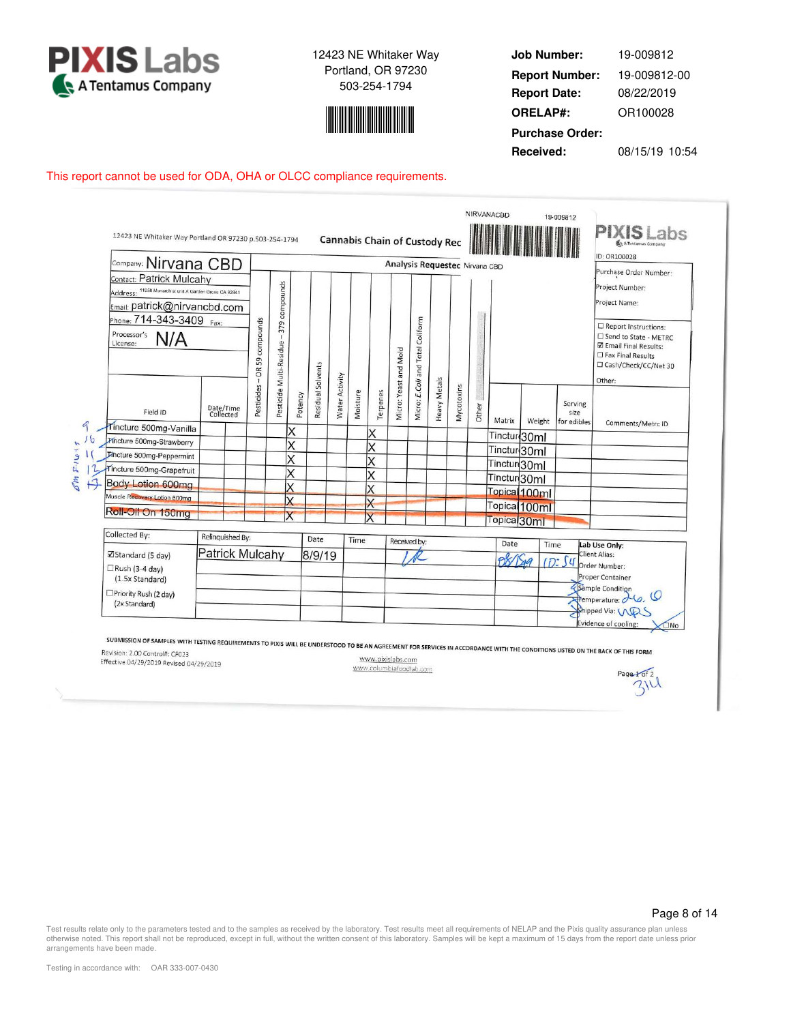



**Job Number: Report Date: ORELAP#:** 08/22/2019 OR100028 **Received:** 08/15/19 10:54 **Purchase Order:** 19-009812 **Report Number:** 19-009812-00

### This report cannot be used for ODA, OHA or OLCC compliance requirements.

| Company: Nirvana CBD                                                                                               |                        |                              |                              |         |                   |                |          |                         |                       | Cannabis Chain of Custody Rec    |                     | Analysis Requestec Nirvana CBD |       |                         |                          |                                | ID: OR100028                                                                                                               |
|--------------------------------------------------------------------------------------------------------------------|------------------------|------------------------------|------------------------------|---------|-------------------|----------------|----------|-------------------------|-----------------------|----------------------------------|---------------------|--------------------------------|-------|-------------------------|--------------------------|--------------------------------|----------------------------------------------------------------------------------------------------------------------------|
| Contact: Patrick Mulcahy<br>Address: 11258 Monarch st unit A Garden Grove CA 92841<br>Email: patrick@nirvancbd.com |                        |                              | 379 compounds                |         |                   |                |          |                         |                       |                                  |                     |                                |       |                         |                          |                                | Purchase Order Number:<br>Project Number:<br>Project Name:                                                                 |
| Phone: 714-343-3409 Fax:<br>Processor's<br>N/A<br>License:                                                         |                        | compounds<br>OR 59           | T<br>Pesticide Multi-Residue |         |                   |                |          |                         |                       | Micro: E.Coli and Total Coliform |                     |                                |       |                         |                          |                                | Report Instructions:<br>□ Send to State - METRC<br>☑ Email Final Results:<br>□ Fax Final Results<br>□ Cash/Check/CC/Net 30 |
| Field ID                                                                                                           | Date/Time<br>Collected | $\overline{1}$<br>Pesticides |                              | Potency | Residual Solvents | Water Activity | Moisture | Terpenes                | Micro: Yeast and Mold |                                  | <b>Heavy Metals</b> | Mycotoxins                     | Other | Matrix                  | Weight                   | Serving<br>size<br>for edibles | Other:                                                                                                                     |
| Tincture 500mg-Vanilla                                                                                             |                        |                              |                              | X       |                   |                |          | X                       |                       |                                  |                     |                                |       | Tinctur <sup>30ml</sup> |                          |                                | Comments/Metrc ID                                                                                                          |
| <b>Pincture 500mg-Strawberry</b>                                                                                   |                        |                              |                              | X       |                   |                |          | X                       |                       |                                  |                     |                                |       | Tinctur <sup>30ml</sup> |                          |                                |                                                                                                                            |
| Tincture 500mg-Peppermint                                                                                          |                        |                              |                              | X       |                   |                |          | X                       |                       |                                  |                     |                                |       | Tinctur <sup>30ml</sup> |                          |                                |                                                                                                                            |
| Tincture 500mg-Grapefruit                                                                                          |                        |                              |                              | X       |                   |                |          | X                       |                       |                                  |                     |                                |       | Tinctur <sub>30ml</sub> |                          |                                |                                                                                                                            |
| <b>Body Lotion 600mg</b><br>Muscle Recovery Lotion 600mg                                                           |                        |                              |                              |         |                   |                |          |                         |                       |                                  |                     |                                |       |                         | Topical 100ml            |                                |                                                                                                                            |
|                                                                                                                    |                        |                              |                              |         |                   |                |          | $\overline{\mathsf{x}}$ |                       |                                  |                     |                                |       |                         | Topical <sub>100ml</sub> |                                |                                                                                                                            |
| Roll-Oil On 150mg                                                                                                  |                        |                              |                              |         |                   |                |          |                         |                       |                                  |                     |                                |       | Topica <sup>30ml</sup>  |                          |                                |                                                                                                                            |
| Collected By:                                                                                                      | Relinquished By:       |                              |                              |         | Date              |                | Time     |                         |                       |                                  |                     |                                |       |                         |                          |                                |                                                                                                                            |
| ☑ Standard (5 day)                                                                                                 | <b>Patrick Mulcahy</b> |                              |                              |         | 8/9/19            |                |          |                         |                       | Received by:                     |                     |                                |       | Date                    | Time<br>189              | ID: S4                         | Lab Use Only:<br><b>Client Alias:</b><br>Order Number:                                                                     |
| $\Box$ Rush (3-4 day)<br>(1.5x Standard)                                                                           |                        |                              |                              |         |                   |                |          |                         |                       |                                  |                     |                                |       |                         |                          |                                | Proper Container                                                                                                           |
| □Priority Rush (2 day)<br>(2x Standard)                                                                            |                        |                              |                              |         |                   |                |          |                         |                       |                                  |                     |                                |       |                         |                          |                                | Sample Condition<br>Fremperature:                                                                                          |

DOD TO BE AN AGREEMENT FOR SERVICES IN ACCORDANCE WITH THE CONDITIONS LISTED ON THE BACK OF THIS FORM Revision: 2.00 Control#: CF023

Effective 04/29/2019 Revised 04/29/2019

www.pixislabs.com www.columbiafoodlab.com

Page 8 of 14

Page + of 2 314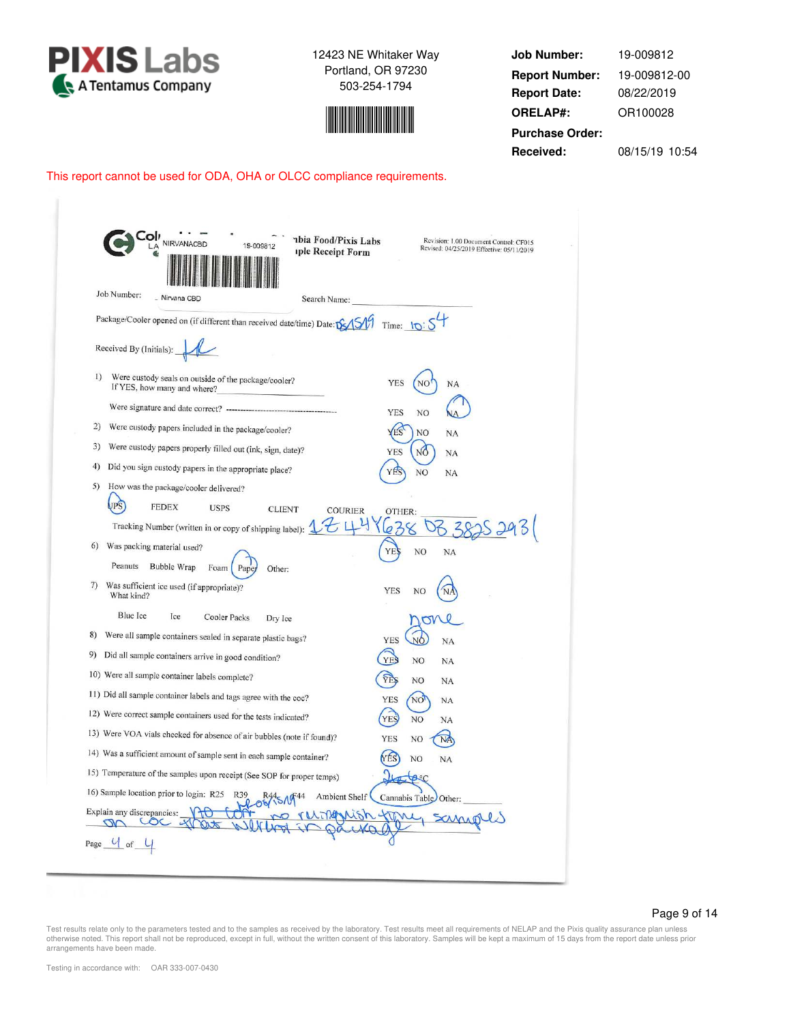



**Job Number: Report Date: ORELAP#:** 08/22/2019 OR100028 **Received:** 08/15/19 10:54 **Purchase Order:** 19-009812 **Report Number:** 19-009812-00

## This report cannot be used for ODA, OHA or OLCC compliance requirements.

|                  | Job Number:<br>- Nirvana CBD<br>Search Name:                                        |                                            |
|------------------|-------------------------------------------------------------------------------------|--------------------------------------------|
|                  | Package/Cooler opened on (if different than received date/time) Date: DSAS          | Time: $10:54$                              |
|                  | Received By (Initials):                                                             |                                            |
| $\left  \right $ | Were custody seals on outside of the package/cooler?<br>If YES, how many and where? | <b>YES</b><br>NO <sup>1</sup><br><b>NA</b> |
|                  |                                                                                     | NO<br>YES                                  |
| 2)               | Were custody papers included in the package/cooler?                                 | <b>NO</b><br>NA                            |
| 3)               | Were custody papers properly filled out (ink, sign, date)?                          | <b>YES</b><br>NÓ<br>NA                     |
| 4)               | Did you sign custody papers in the appropriate place?                               | YES<br>NO<br>NA                            |
| 5)               | How was the package/cooler delivered?                                               |                                            |
|                  | JPS<br><b>FEDEX</b><br><b>USPS</b><br><b>CLIENT</b><br><b>COURIER</b>               | OTHER:                                     |
|                  | Tracking Number (written in or copy of shipping label):                             | 25293<br>6                                 |
| 6)               | Was packing material used?                                                          | NO<br>YF<br><b>NA</b>                      |
|                  | Peanuts<br>Bubble Wrap<br>Foam<br>Pape<br>Other:                                    |                                            |
| 7)               | Was sufficient ice used (if appropriate)?<br>What kind?                             | <b>YES</b><br>NO                           |
|                  | Blue Ice<br>Ice<br>Cooler Packs<br>Dry Ice                                          |                                            |
| 8)               | Were all sample containers sealed in separate plastic bags?                         | <b>YES</b><br>NÓ<br>NA                     |
| 9)               | Did all sample containers arrive in good condition?                                 | <b>YES</b><br>N <sub>O</sub><br><b>NA</b>  |
|                  | 10) Were all sample container labels complete?                                      | <b>YES</b><br>NO<br>NA                     |
|                  | 11) Did all sample container labels and tags agree with the coc?                    | <b>YES</b><br>NO<br>NA                     |
|                  | 12) Were correct sample containers used for the tests indicated?                    | YES<br><b>NO</b><br>NA                     |
|                  | 13) Were VOA vials checked for absence of air bubbles (note if found)?              | <b>YES</b><br>NO<br>NA                     |
|                  | 14) Was a sufficient amount of sample sent in each sample container?                | YES<br>NO.<br><b>NA</b>                    |
|                  | 15) Temperature of the samples upon receipt (See SOP for proper temps)              | ASC                                        |
|                  | 16) Sample location prior to login: R25 R39<br>Ambient Shelf                        | Cannabis Table Other:                      |
|                  |                                                                                     |                                            |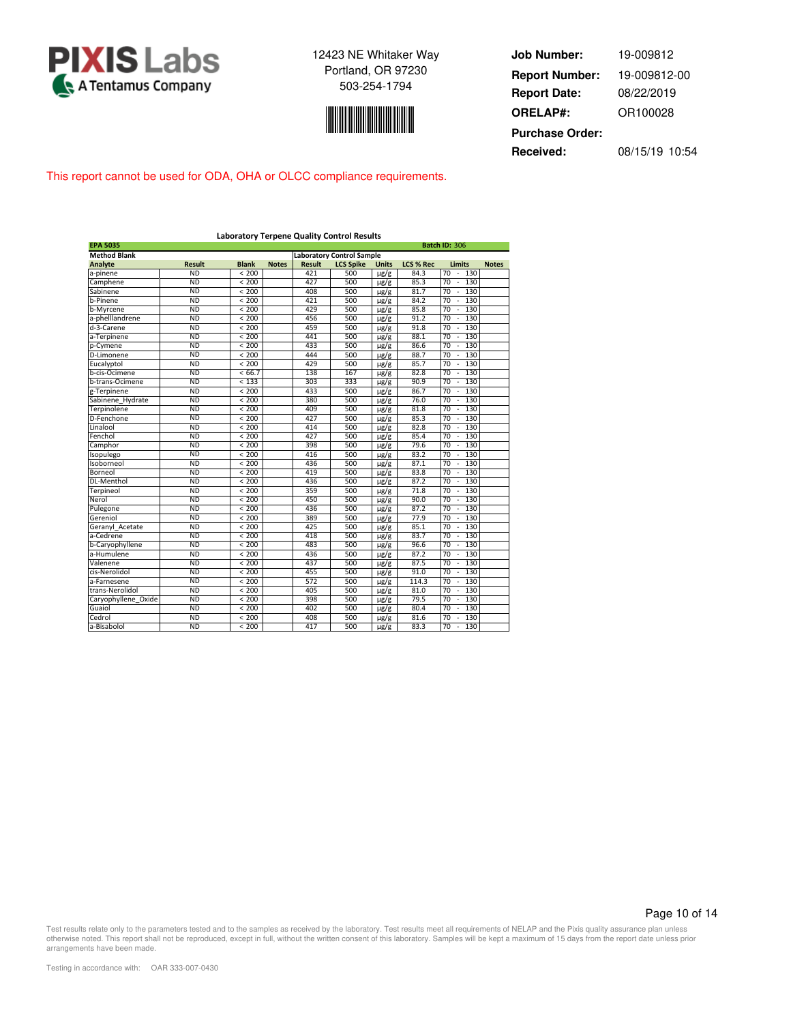



**Job Number: Report Date: ORELAP#:** 08/22/2019 OR100028 **Received:** 08/15/19 10:54 **Purchase Order:** 19-009812 **Report Number:** 19-009812-00

This report cannot be used for ODA, OHA or OLCC compliance requirements.

|                     |               |              |              |               | <b>Laboratory Terpene Quality Control Results</b> |              |                  |                              |              |
|---------------------|---------------|--------------|--------------|---------------|---------------------------------------------------|--------------|------------------|------------------------------|--------------|
| <b>EPA 5035</b>     |               |              |              |               |                                                   |              |                  | <b>Batch ID: 306</b>         |              |
| <b>Method Blank</b> |               |              |              |               | <b>Laboratory Control Sample</b>                  |              |                  |                              |              |
| <b>Analyte</b>      | <b>Result</b> | <b>Blank</b> | <b>Notes</b> | <b>Result</b> | <b>LCS Spike</b>                                  | <b>Units</b> | <b>LCS % Rec</b> | <b>Limits</b>                | <b>Notes</b> |
| a-pinene            | <b>ND</b>     | < 200        |              | 421           | 500                                               | $\mu$ g/g    | 84.3             | 70<br>130                    |              |
| Camphene            | <b>ND</b>     | < 200        |              | 427           | 500                                               | $\mu$ g/g    | 85.3             | 70<br>130<br>ł,              |              |
| Sabinene            | <b>ND</b>     | < 200        |              | 408           | 500                                               | $\mu$ g/g    | 81.7             | 70<br>130<br>ä,              |              |
| b-Pinene            | <b>ND</b>     | < 200        |              | 421           | 500                                               | $\mu$ g/g    | 84.2             | 70<br>130<br>ä,              |              |
| b-Myrcene           | <b>ND</b>     | < 200        |              | 429           | 500                                               | $\mu$ g/g    | 85.8             | 70<br>130<br>×,              |              |
| a-phelllandrene     | <b>ND</b>     | < 200        |              | 456           | 500                                               | $\mu$ g/g    | 91.2             | 70<br>130                    |              |
| d-3-Carene          | <b>ND</b>     | < 200        |              | 459           | 500                                               | $\mu$ g/g    | 91.8             | 70<br>130<br>٠               |              |
| a-Terpinene         | <b>ND</b>     | < 200        |              | 441           | 500                                               | $\mu$ g/g    | 88.1             | 70<br>130<br>×,              |              |
| p-Cymene            | <b>ND</b>     | < 200        |              | 433           | 500                                               | $\mu$ g/g    | 86.6             | 70<br>130                    |              |
| D-Limonene          | <b>ND</b>     | < 200        |              | 444           | 500                                               | $\mu$ g/g    | 88.7             | 70<br>130<br>×,              |              |
| Eucalyptol          | <b>ND</b>     | < 200        |              | 429           | 500                                               | $\mu$ g/g    | 85.7             | 130<br>70<br>$\sim$          |              |
| b-cis-Ocimene       | <b>ND</b>     | < 66.7       |              | 138           | 167                                               | $\mu$ g/g    | 82.8             | 70<br>130                    |              |
| b-trans-Ocimene     | <b>ND</b>     | < 133        |              | 303           | 333                                               | $\mu$ g/g    | 90.9             | $\overline{70}$<br>130       |              |
| g-Terpinene         | <b>ND</b>     | < 200        |              | 433           | 500                                               | $\mu$ g/g    | 86.7             | 70<br>130<br>ä,              |              |
| Sabinene Hydrate    | <b>ND</b>     | < 200        |              | 380           | 500                                               | $\mu$ g/g    | 76.0             | $\overline{70}$<br>130       |              |
| Terpinolene         | <b>ND</b>     | < 200        |              | 409           | 500                                               | $\mu$ g/g    | 81.8             | 70<br>130<br>×.              |              |
| D-Fenchone          | <b>ND</b>     | < 200        |              | 427           | 500                                               | $\mu$ g/g    | 85.3             | 70<br>130                    |              |
| Linalool            | <b>ND</b>     | < 200        |              | 414           | 500                                               | $\mu$ g/g    | 82.8             | 130<br>70                    |              |
| Fenchol             | <b>ND</b>     | < 200        |              | 427           | 500                                               | $\mu$ g/g    | 85.4             | 70<br>130<br>×.              |              |
| Camphor             | <b>ND</b>     | < 200        |              | 398           | 500                                               | $\mu$ g/g    | 79.6             | 70<br>130                    |              |
| Isopulego           | <b>ND</b>     | < 200        |              | 416           | 500                                               | $\mu$ g/g    | 83.2             | 70<br>130<br>ä,              |              |
| Isoborneol          | <b>ND</b>     | < 200        |              | 436           | 500                                               | $\mu$ g/g    | 87.1             | 70<br>130                    |              |
| Borneol             | <b>ND</b>     | < 200        |              | 419           | 500                                               | $\mu$ g/g    | 83.8             | 70<br>130<br>ä,              |              |
| DL-Menthol          | <b>ND</b>     | < 200        |              | 436           | 500                                               | $\mu$ g/g    | 87.2             | 70<br>130<br>ä,              |              |
| Terpineol           | <b>ND</b>     | < 200        |              | 359           | 500                                               | $\mu$ g/g    | 71.8             | 70<br>130                    |              |
| Nerol               | <b>ND</b>     | < 200        |              | 450           | 500                                               | $\mu$ g/g    | 90.0             | 70<br>130<br>ä,              |              |
| Pulegone            | <b>ND</b>     | < 200        |              | 436           | 500                                               | $\mu$ g/g    | 87.2             | 130<br>70<br>÷,              |              |
| Gereniol            | <b>ND</b>     | < 200        |              | 389           | 500                                               | $\mu$ g/g    | 77.9             | 70<br>130                    |              |
| Geranyl Acetate     | <b>ND</b>     | < 200        |              | 425           | 500                                               | $\mu$ g/g    | 85.1             | 70<br>130<br>×,              |              |
| a-Cedrene           | <b>ND</b>     | < 200        |              | 418           | 500                                               | $\mu$ g/g    | 83.7             | 130<br>70<br>$\sim$          |              |
| b-Caryophyllene     | <b>ND</b>     | < 200        |              | 483           | 500                                               | $\mu$ g/g    | 96.6             | 70<br>130                    |              |
| a-Humulene          | <b>ND</b>     | < 200        |              | 436           | 500                                               | $\mu$ g/g    | 87.2             | $\overline{70}$<br>130<br>ä, |              |
| Valenene            | <b>ND</b>     | < 200        |              | 437           | 500                                               | $\mu$ g/g    | 87.5             | 130<br>70<br>٠               |              |
| cis-Nerolidol       | <b>ND</b>     | < 200        |              | 455           | 500                                               | $\mu$ g/g    | 91.0             | 70<br>130<br>ä,              |              |
| a-Farnesene         | <b>ND</b>     | < 200        |              | 572           | 500                                               | $\mu$ g/g    | 114.3            | 70<br>130<br>ä,              |              |
| trans-Nerolidol     | <b>ND</b>     | < 200        |              | 405           | 500                                               | $\mu$ g/g    | 81.0             | 70<br>130                    |              |
| Caryophyllene_Oxide | <b>ND</b>     | < 200        |              | 398           | 500                                               | $\mu$ g/g    | 79.5             | 130<br>70                    |              |
| Guaiol              | ND            | < 200        |              | 402           | 500                                               | $\mu$ g/g    | 80.4             | 130<br>70                    |              |
| Cedrol              | <b>ND</b>     | < 200        |              | 408           | 500                                               | $\mu$ g/g    | 81.6             | 70<br>130                    |              |
| a-Bisabolol         | <b>ND</b>     | < 200        |              | 417           | 500                                               | $\mu$ g/g    | 83.3             | 70<br>130<br>÷,              |              |

Page 10 of 14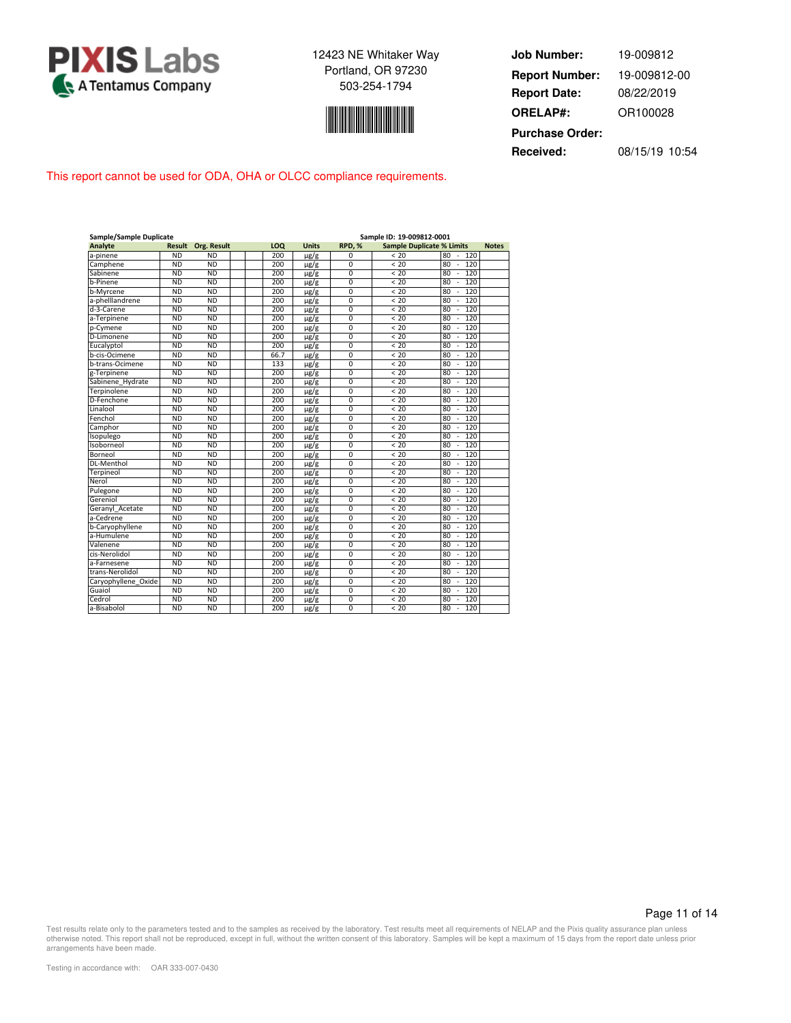



**Job Number: Report Date: ORELAP#:** 08/22/2019 OR100028 **Received:** 08/15/19 10:54 **Purchase Order:** 19-009812 **Report Number:** 19-009812-00

This report cannot be used for ODA, OHA or OLCC compliance requirements.

| Sample/Sample Duplicate |               |                    | Sample ID: 19-009812-0001 |      |              |                |                                  |                                       |              |  |  |  |  |  |
|-------------------------|---------------|--------------------|---------------------------|------|--------------|----------------|----------------------------------|---------------------------------------|--------------|--|--|--|--|--|
| <b>Analyte</b>          | <b>Result</b> | <b>Org. Result</b> |                           | LOQ  | <b>Units</b> | RPD.%          | <b>Sample Duplicate % Limits</b> |                                       | <b>Notes</b> |  |  |  |  |  |
| a-pinene                | <b>ND</b>     | <b>ND</b>          |                           | 200  | $\mu$ g/g    | $\Omega$       | < 20                             | 80<br>$\overline{\phantom{a}}$<br>120 |              |  |  |  |  |  |
| Camphene                | <b>ND</b>     | <b>ND</b>          |                           | 200  | $\mu$ g/g    | $\overline{0}$ | < 20                             | 80<br>120<br>×,                       |              |  |  |  |  |  |
| Sabinene                | <b>ND</b>     | <b>ND</b>          |                           | 200  | $\mu$ g/g    | 0              | < 20                             | 80<br>120<br>$\overline{\phantom{a}}$ |              |  |  |  |  |  |
| b-Pinene                | <b>ND</b>     | <b>ND</b>          |                           | 200  | $\mu$ g/g    | $\mathbf 0$    | < 20                             | 120<br>80<br>×                        |              |  |  |  |  |  |
| b-Myrcene               | <b>ND</b>     | <b>ND</b>          |                           | 200  | $\mu$ g/g    | $\overline{0}$ | < 20                             | 120<br>80<br>×                        |              |  |  |  |  |  |
| a-phelllandrene         | <b>ND</b>     | <b>ND</b>          |                           | 200  | $\mu$ g/g    | $\mathbf 0$    | < 20                             | 120<br>80                             |              |  |  |  |  |  |
| d-3-Carene              | <b>ND</b>     | <b>ND</b>          |                           | 200  | $\mu$ g/g    | $\mathbf 0$    | < 20                             | 80<br>120<br>×                        |              |  |  |  |  |  |
| a-Terpinene             | <b>ND</b>     | <b>ND</b>          |                           | 200  | $\mu$ g/g    | $\overline{0}$ | < 20                             | 80<br>120<br>×                        |              |  |  |  |  |  |
| p-Cymene                | <b>ND</b>     | <b>ND</b>          |                           | 200  | $\mu$ g/g    | 0              | < 20                             | 80<br>120<br>$\overline{\phantom{a}}$ |              |  |  |  |  |  |
| D-Limonene              | <b>ND</b>     | <b>ND</b>          |                           | 200  | $\mu$ g/g    | $\overline{0}$ | < 20                             | 120<br>80<br>×                        |              |  |  |  |  |  |
| Eucalyptol              | <b>ND</b>     | <b>ND</b>          |                           | 200  | $\mu$ g/g    | $\overline{0}$ | < 20                             | 120<br>80<br>÷,                       |              |  |  |  |  |  |
| b-cis-Ocimene           | <b>ND</b>     | <b>ND</b>          |                           | 66.7 | $\mu$ g/g    | $\mathbf 0$    | < 20                             | 120<br>80<br>ä,                       |              |  |  |  |  |  |
| b-trans-Ocimene         | <b>ND</b>     | <b>ND</b>          |                           | 133  | $\mu$ g/g    | $\mathbf 0$    | < 20                             | 120<br>80<br>$\sim$                   |              |  |  |  |  |  |
| g-Terpinene             | <b>ND</b>     | <b>ND</b>          |                           | 200  | $\mu$ g/g    | $\overline{0}$ | < 20                             | 80<br>120<br>÷,                       |              |  |  |  |  |  |
| Sabinene Hydrate        | <b>ND</b>     | <b>ND</b>          |                           | 200  | $\mu$ g/g    | $\overline{0}$ | < 20                             | 80<br>120<br>×,                       |              |  |  |  |  |  |
| Terpinolene             | <b>ND</b>     | <b>ND</b>          |                           | 200  | $\mu$ g/g    | $\mathbf 0$    | < 20                             | 80<br>120<br>×                        |              |  |  |  |  |  |
| D-Fenchone              | <b>ND</b>     | ND                 |                           | 200  | $\mu$ g/g    | $\overline{0}$ | < 20                             | 120<br>80<br>×,                       |              |  |  |  |  |  |
| Linalool                | <b>ND</b>     | <b>ND</b>          |                           | 200  | $\mu$ g/g    | $\overline{0}$ | < 20                             | 120<br>80<br>×                        |              |  |  |  |  |  |
| Fenchol                 | <b>ND</b>     | <b>ND</b>          |                           | 200  | $\mu$ g/g    | $\mathbf 0$    | < 20                             | 120<br>80<br>×,                       |              |  |  |  |  |  |
| Camphor                 | <b>ND</b>     | <b>ND</b>          |                           | 200  | $\mu$ g/g    | $\mathbf 0$    | < 20                             | 120<br>80<br>×                        |              |  |  |  |  |  |
| Isopulego               | <b>ND</b>     | <b>ND</b>          |                           | 200  | $\mu$ g/g    | $\mathbf 0$    | < 20                             | 120<br>80<br>$\overline{\phantom{a}}$ |              |  |  |  |  |  |
| Isoborneol              | <b>ND</b>     | <b>ND</b>          |                           | 200  | $\mu$ g/g    | $\mathbf 0$    | < 20                             | 120<br>80<br>÷,                       |              |  |  |  |  |  |
| Borneol                 | <b>ND</b>     | <b>ND</b>          |                           | 200  | $\mu$ g/g    | $\mathbf 0$    | < 20                             | 120<br>80<br>×,                       |              |  |  |  |  |  |
| DL-Menthol              | <b>ND</b>     | <b>ND</b>          |                           | 200  | $\mu$ g/g    | $\mathbf 0$    | < 20                             | 80<br>120<br>×                        |              |  |  |  |  |  |
| Terpineol               | <b>ND</b>     | <b>ND</b>          |                           | 200  | $\mu$ g/g    | 0              | < 20                             | 120<br>80<br>$\overline{\phantom{a}}$ |              |  |  |  |  |  |
| Nerol                   | <b>ND</b>     | <b>ND</b>          |                           | 200  | $\mu$ g/g    | $\mathbf 0$    | < 20                             | 120<br>80                             |              |  |  |  |  |  |
| Pulegone                | <b>ND</b>     | <b>ND</b>          |                           | 200  | $\mu$ g/g    | $\overline{0}$ | < 20                             | 120<br>80<br>×,                       |              |  |  |  |  |  |
| Gereniol                | <b>ND</b>     | <b>ND</b>          |                           | 200  | $\mu$ g/g    | $\overline{0}$ | < 20                             | 120<br>80<br>×                        |              |  |  |  |  |  |
| Geranyl Acetate         | <b>ND</b>     | <b>ND</b>          |                           | 200  | $\mu$ g/g    | $\mathbf 0$    | < 20                             | 120<br>80<br>$\overline{\phantom{a}}$ |              |  |  |  |  |  |
| a-Cedrene               | <b>ND</b>     | <b>ND</b>          |                           | 200  | $\mu$ g/g    | $\overline{0}$ | < 20                             | 120<br>80<br>ä,                       |              |  |  |  |  |  |
| b-Caryophyllene         | <b>ND</b>     | <b>ND</b>          |                           | 200  | $\mu$ g/g    | $\overline{0}$ | < 20                             | 120<br>80<br>×,                       |              |  |  |  |  |  |
| a-Humulene              | <b>ND</b>     | <b>ND</b>          |                           | 200  | $\mu$ g/g    | $\mathbf 0$    | < 20                             | 80<br>120<br>×,                       |              |  |  |  |  |  |
| Valenene                | <b>ND</b>     | <b>ND</b>          |                           | 200  | $\mu$ g/g    | $\mathbf 0$    | < 20                             | 120<br>80<br>×,                       |              |  |  |  |  |  |
| cis-Nerolidol           | <b>ND</b>     | <b>ND</b>          |                           | 200  | $\mu$ g/g    | $\overline{0}$ | < 20                             | 120<br>80                             |              |  |  |  |  |  |
| a-Farnesene             | <b>ND</b>     | <b>ND</b>          |                           | 200  | $\mu$ g/g    | $\mathbf 0$    | < 20                             | 120<br>80                             |              |  |  |  |  |  |
| trans-Nerolidol         | <b>ND</b>     | <b>ND</b>          |                           | 200  | $\mu$ g/g    | $\mathbf 0$    | < 20                             | 80<br>120<br>×                        |              |  |  |  |  |  |
| Caryophyllene Oxide     | <b>ND</b>     | <b>ND</b>          |                           | 200  | $\mu$ g/g    | $\overline{0}$ | < 20                             | 120<br>80<br>$\overline{\phantom{a}}$ |              |  |  |  |  |  |
| Guaiol                  | <b>ND</b>     | <b>ND</b>          |                           | 200  | $\mu$ g/g    | $\mathbf 0$    | < 20                             | 120<br>80<br>×,                       |              |  |  |  |  |  |
| Cedrol                  | <b>ND</b>     | <b>ND</b>          |                           | 200  | $\mu$ g/g    | $\mathbf 0$    | < 20                             | 120<br>80                             |              |  |  |  |  |  |
| a-Bisabolol             | <b>ND</b>     | <b>ND</b>          |                           | 200  | $\mu$ g/g    | $\Omega$       | < 20                             | 80<br>120<br>$\overline{\phantom{a}}$ |              |  |  |  |  |  |

Page 11 of 14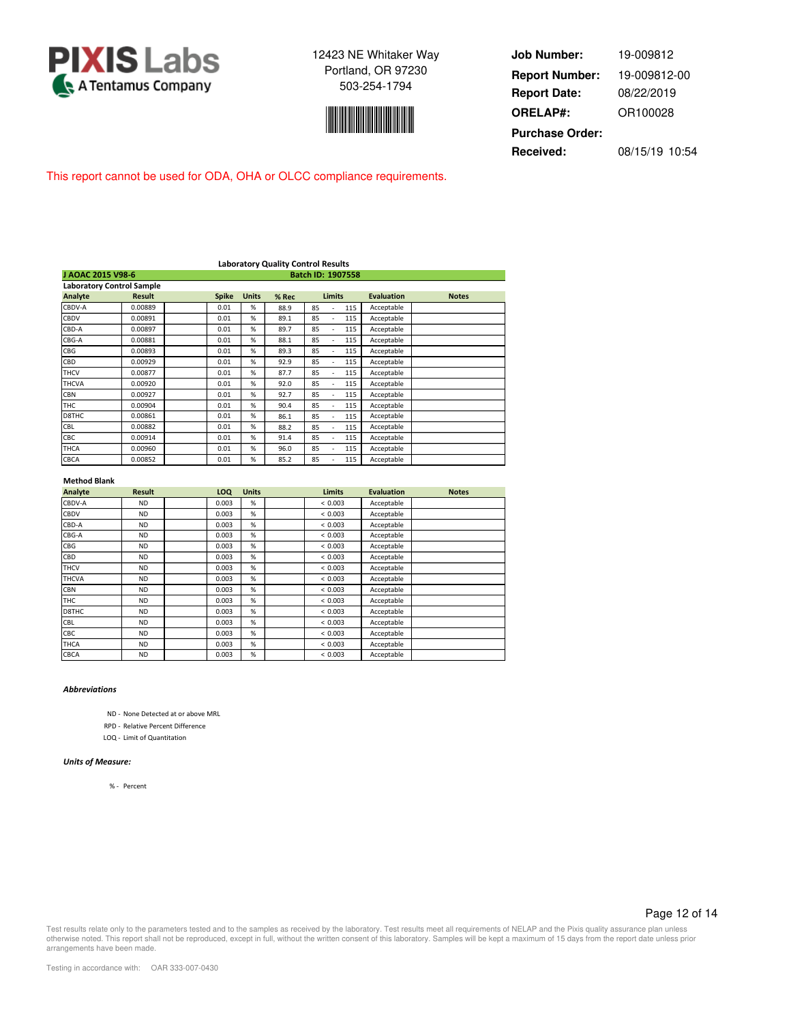



**Job Number: Report Date: ORELAP#:** 08/22/2019 OR100028 **Received:** 08/15/19 10:54 **Purchase Order:** 19-009812 **Report Number:** 19-009812-00

This report cannot be used for ODA, OHA or OLCC compliance requirements.

|                   |                                  |              |              |       | <b>Laboratory Quality Control Results</b> |                   |              |
|-------------------|----------------------------------|--------------|--------------|-------|-------------------------------------------|-------------------|--------------|
| J AOAC 2015 V98-6 |                                  |              |              |       |                                           |                   |              |
|                   | <b>Laboratory Control Sample</b> |              |              |       |                                           |                   |              |
| Analyte           | <b>Result</b>                    | <b>Spike</b> | <b>Units</b> | % Rec | <b>Limits</b>                             | <b>Evaluation</b> | <b>Notes</b> |
| CBDV-A            | 0.00889                          | 0.01         | %            | 88.9  | 85<br>115                                 | Acceptable        |              |
| CBDV              | 0.00891                          | 0.01         | %            | 89.1  | 85<br>115<br>$\overline{\phantom{a}}$     | Acceptable        |              |
| CBD-A             | 0.00897                          | 0.01         | %            | 89.7  | 85<br>115<br>÷                            | Acceptable        |              |
| CBG-A             | 0.00881                          | 0.01         | %            | 88.1  | 85<br>115<br>٠                            | Acceptable        |              |
| <b>CBG</b>        | 0.00893                          | 0.01         | %            | 89.3  | 85<br>115<br>٠                            | Acceptable        |              |
| CBD               | 0.00929                          | 0.01         | %            | 92.9  | 85<br>115<br>٠                            | Acceptable        |              |
| <b>THCV</b>       | 0.00877                          | 0.01         | %            | 87.7  | 85<br>115                                 | Acceptable        |              |
| <b>THCVA</b>      | 0.00920                          | 0.01         | %            | 92.0  | 85<br>115                                 | Acceptable        |              |
| <b>CBN</b>        | 0.00927                          | 0.01         | %            | 92.7  | 85<br>115                                 | Acceptable        |              |
| <b>THC</b>        | 0.00904                          | 0.01         | %            | 90.4  | 85<br>115<br>٠                            | Acceptable        |              |
| D8THC             | 0.00861                          | 0.01         | %            | 86.1  | 85<br>115                                 | Acceptable        |              |
| <b>CBL</b>        | 0.00882                          | 0.01         | %            | 88.2  | 85<br>115<br>÷                            | Acceptable        |              |
| CBC               | 0.00914                          | 0.01         | %            | 91.4  | 85<br>115<br>÷                            | Acceptable        |              |
| THCA              | 0.00960                          | 0.01         | %            | 96.0  | 85<br>115<br>٠                            | Acceptable        |              |
| <b>CBCA</b>       | 0.00852                          | 0.01         | %            | 85.2  | 85<br>115                                 | Acceptable        |              |

#### **Method Blank**

| Analyte      | <b>Result</b> | LOQ   | <b>Units</b> | <b>Limits</b> | <b>Evaluation</b> | <b>Notes</b> |
|--------------|---------------|-------|--------------|---------------|-------------------|--------------|
| CBDV-A       | <b>ND</b>     | 0.003 | %            | < 0.003       | Acceptable        |              |
| <b>CBDV</b>  | <b>ND</b>     | 0.003 | %            | < 0.003       | Acceptable        |              |
| CBD-A        | <b>ND</b>     | 0.003 | %            | < 0.003       | Acceptable        |              |
| CBG-A        | <b>ND</b>     | 0.003 | %            | < 0.003       | Acceptable        |              |
| CBG          | <b>ND</b>     | 0.003 | %            | < 0.003       | Acceptable        |              |
| CBD          | <b>ND</b>     | 0.003 | %            | < 0.003       | Acceptable        |              |
| <b>THCV</b>  | <b>ND</b>     | 0.003 | %            | < 0.003       | Acceptable        |              |
| <b>THCVA</b> | <b>ND</b>     | 0.003 | %            | < 0.003       | Acceptable        |              |
| <b>CBN</b>   | <b>ND</b>     | 0.003 | %            | < 0.003       | Acceptable        |              |
| <b>THC</b>   | <b>ND</b>     | 0.003 | %            | < 0.003       | Acceptable        |              |
| D8THC        | <b>ND</b>     | 0.003 | %            | < 0.003       | Acceptable        |              |
| <b>CBL</b>   | <b>ND</b>     | 0.003 | %            | < 0.003       | Acceptable        |              |
| <b>CBC</b>   | <b>ND</b>     | 0.003 | %            | < 0.003       | Acceptable        |              |
| <b>THCA</b>  | <b>ND</b>     | 0.003 | %            | < 0.003       | Acceptable        |              |
| <b>CBCA</b>  | <b>ND</b>     | 0.003 | %            | < 0.003       | Acceptable        |              |

#### *Abbreviations*

ND - None Detected at or above MRL

RPD - Relative Percent Difference

LOQ - Limit of Quantitation

#### *Units of Measure:*

% - Percent

#### Page 12 of 14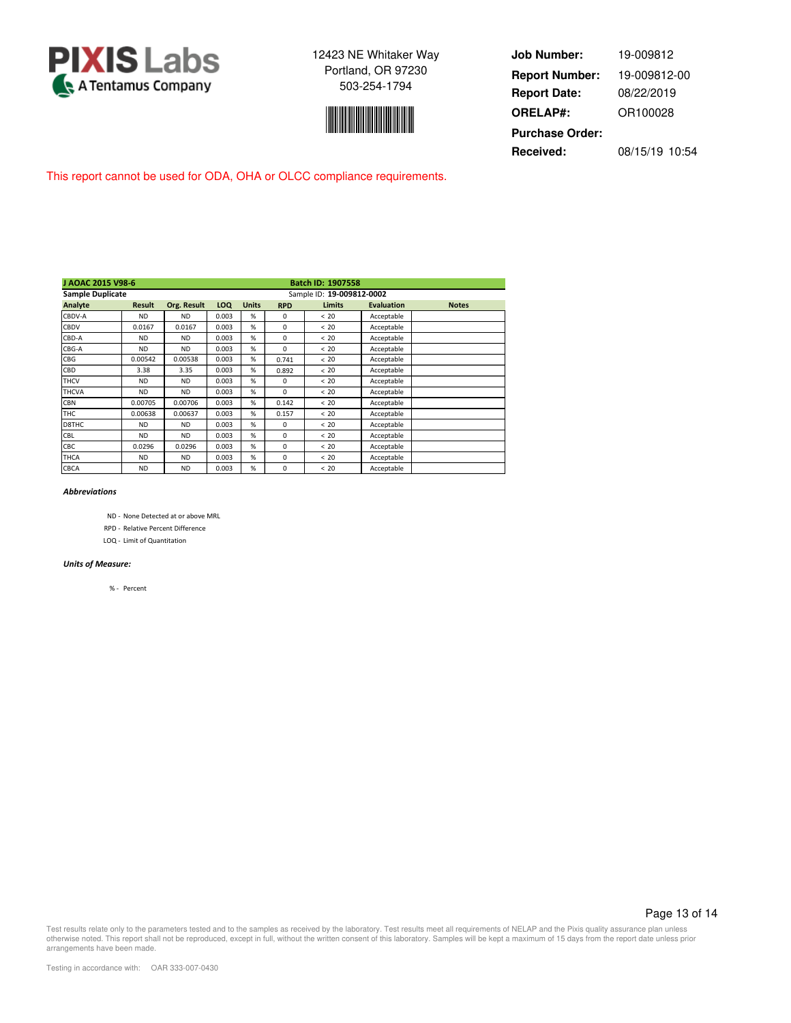



| <b>Job Number:</b>     | 19-009812      |
|------------------------|----------------|
| <b>Report Number:</b>  | 19-009812-00   |
| <b>Report Date:</b>    | 08/22/2019     |
| <b>ORELAP#:</b>        | OR100028       |
| <b>Purchase Order:</b> |                |
| Received:              | 08/15/19 10:54 |

This report cannot be used for ODA, OHA or OLCC compliance requirements.

| J AOAC 2015 V98-6       | <b>Batch ID: 1907558</b> |             |            |                           |            |               |                   |              |  |  |
|-------------------------|--------------------------|-------------|------------|---------------------------|------------|---------------|-------------------|--------------|--|--|
| <b>Sample Duplicate</b> |                          |             |            | Sample ID: 19-009812-0002 |            |               |                   |              |  |  |
| Analyte                 | <b>Result</b>            | Org. Result | <b>LOQ</b> | <b>Units</b>              | <b>RPD</b> | <b>Limits</b> | <b>Evaluation</b> | <b>Notes</b> |  |  |
| CBDV-A                  | <b>ND</b>                | <b>ND</b>   | 0.003      | %                         | 0          | < 20          | Acceptable        |              |  |  |
| CBDV                    | 0.0167                   | 0.0167      | 0.003      | %                         | $\Omega$   | < 20          | Acceptable        |              |  |  |
| CBD-A                   | <b>ND</b>                | <b>ND</b>   | 0.003      | %                         | $\Omega$   | < 20          | Acceptable        |              |  |  |
| CBG-A                   | <b>ND</b>                | <b>ND</b>   | 0.003      | %                         | $\Omega$   | < 20          | Acceptable        |              |  |  |
| <b>CBG</b>              | 0.00542                  | 0.00538     | 0.003      | %                         | 0.741      | < 20          | Acceptable        |              |  |  |
| CBD                     | 3.38                     | 3.35        | 0.003      | %                         | 0.892      | < 20          | Acceptable        |              |  |  |
| <b>THCV</b>             | <b>ND</b>                | <b>ND</b>   | 0.003      | %                         | $\Omega$   | < 20          | Acceptable        |              |  |  |
| <b>THCVA</b>            | <b>ND</b>                | <b>ND</b>   | 0.003      | %                         | $\Omega$   | < 20          | Acceptable        |              |  |  |
| <b>CBN</b>              | 0.00705                  | 0.00706     | 0.003      | %                         | 0.142      | < 20          | Acceptable        |              |  |  |
| <b>THC</b>              | 0.00638                  | 0.00637     | 0.003      | %                         | 0.157      | < 20          | Acceptable        |              |  |  |
| D8THC                   | <b>ND</b>                | <b>ND</b>   | 0.003      | %                         | $\Omega$   | < 20          | Acceptable        |              |  |  |
| <b>CBL</b>              | <b>ND</b>                | <b>ND</b>   | 0.003      | %                         | $\Omega$   | < 20          | Acceptable        |              |  |  |
| CBC                     | 0.0296                   | 0.0296      | 0.003      | %                         | $\Omega$   | < 20          | Acceptable        |              |  |  |
| <b>THCA</b>             | <b>ND</b>                | <b>ND</b>   | 0.003      | %                         | 0          | < 20          | Acceptable        |              |  |  |
| CBCA                    | <b>ND</b>                | <b>ND</b>   | 0.003      | %                         | $\Omega$   | < 20          | Acceptable        |              |  |  |

#### *Abbreviations*

- ND None Detected at or above MRL
- RPD Relative Percent Difference
- LOQ Limit of Quantitation

#### *Units of Measure:*

% - Percent

#### Page 13 of 14